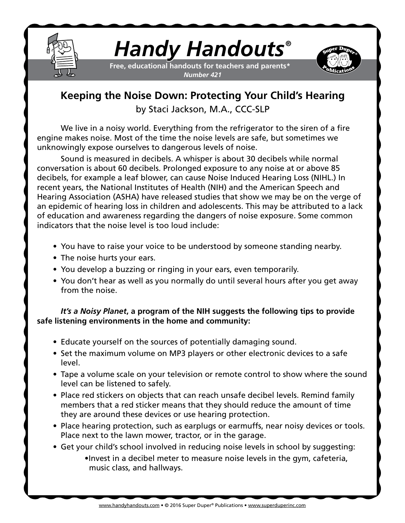

## *Handy Handouts®*

**Free, educational handouts for teachers and parents\*** *Number 421*



## **Keeping the Noise Down: Protecting Your Child's Hearing** by Staci Jackson, M.A., CCC-SLP

We live in a noisy world. Everything from the refrigerator to the siren of a fire engine makes noise. Most of the time the noise levels are safe, but sometimes we unknowingly expose ourselves to dangerous levels of noise.

Sound is measured in decibels. A whisper is about 30 decibels while normal conversation is about 60 decibels. Prolonged exposure to any noise at or above 85 decibels, for example a leaf blower, can cause Noise Induced Hearing Loss (NIHL.) In recent years, the National Institutes of Health (NIH) and the American Speech and Hearing Association (ASHA) have released studies that show we may be on the verge of an epidemic of hearing loss in children and adolescents. This may be attributed to a lack of education and awareness regarding the dangers of noise exposure. Some common indicators that the noise level is too loud include:

- You have to raise your voice to be understood by someone standing nearby.
- The noise hurts your ears.
- You develop a buzzing or ringing in your ears, even temporarily.
- You don't hear as well as you normally do until several hours after you get away from the noise.

## *It's a Noisy Planet***, a program of the NIH suggests the following tips to provide safe listening environments in the home and community:**

- Educate yourself on the sources of potentially damaging sound.
- Set the maximum volume on MP3 players or other electronic devices to a safe level.
- Tape a volume scale on your television or remote control to show where the sound level can be listened to safely.
- Place red stickers on objects that can reach unsafe decibel levels. Remind family members that a red sticker means that they should reduce the amount of time they are around these devices or use hearing protection.
- Place hearing protection, such as earplugs or earmuffs, near noisy devices or tools. Place next to the lawn mower, tractor, or in the garage.
- Get your child's school involved in reducing noise levels in school by suggesting: •Invest in a decibel meter to measure noise levels in the gym, cafeteria, music class, and hallways.